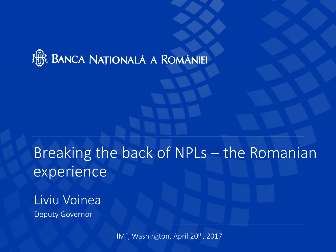

# Breaking the back of NPLs – the Romanian experience

# Liviu Voinea

Deputy Governor

IMF, Washington, April 20th, <sup>2017</sup>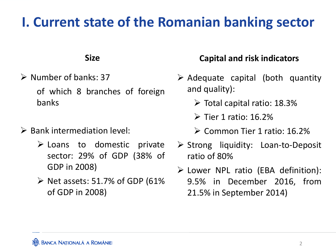# **I. Current state of the Romanian banking sector**

#### **Size**

- $\triangleright$  Number of banks: 37 of which 8 branches of foreign banks
- $\triangleright$  Bank intermediation level:
	- $\triangleright$  Loans to domestic private sector: 29% of GDP (38% of GDP in 2008)
	- $\triangleright$  Net assets: 51.7% of GDP (61%) of GDP in 2008)

### **Capital and risk indicators**

- $\triangleright$  Adequate capital (both quantity and quality):
	- $\triangleright$  Total capital ratio: 18.3%
	- $\triangleright$  Tier 1 ratio: 16.2%
	- Common Tier 1 ratio: 16.2%
- ▶ Strong liquidity: Loan-to-Deposit ratio of 80%
- Lower NPL ratio (EBA definition): 9.5% in December 2016, from 21.5% in September 2014)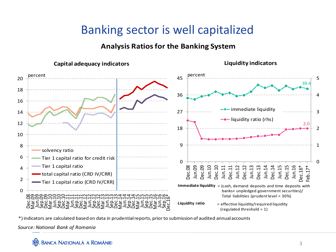### Banking sector is well capitalized

#### **Analysis Ratiosfor the Banking System**



**Liquidity indicators**



\*) indicators are calculated based on data in prudentialreports, prior to submission of audited annualaccounts

*Source: National Bank of Romania*

**BANCA NAȚIONALĂ A ROMÂNIE**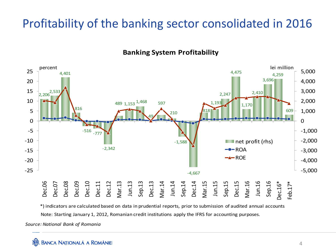### Profitability of the banking sector consolidated in 2016

**Banking System Profitability**



Note: Starting January 1, 2012, Romanian credit institutions apply the IFRS for accounting purposes. \*) indicators are calculated based on data in prudential reports, prior to submission of audited annual accounts

*Source: National Bank of Romania*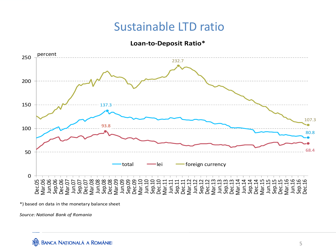### Sustainable LTD ratio

#### **Loan‐to‐Deposit Ratio\***



\*) based on data in the monetary balance sheet

*Source: National Bank of Romania*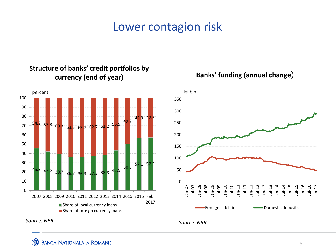### Lower contagion risk



#### **Structure of banks' credit portfolios by currency (end of year) Banks' funding (annual change**)



*Source: NBR*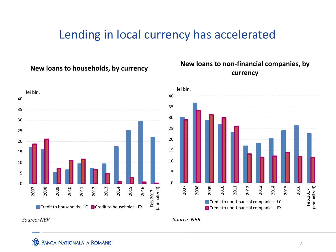### Lending in local currency has accelerated

#### **New loans to households, by currency**

# **loans to non-financial companies, by currency**





*Source: NBR*

*Source: NBR*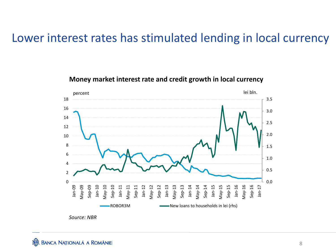### Lower interest rates has stimulated lending in local currency

#### 0.0 0.51.01.52.0 2.53.03.5 02 468 10 121416 18Jan දි May දි Sep දි Jan <u>م:</u> May <u>م:</u> Sep <u>م:</u> Jan ‐11 May ‐11 Sep ‐11 Jan ‐12 May ‐12 Sep ‐12 Jan <u>مب</u> May <u>مب</u> Sep <u>مب</u> Jan ‐14 May ‐14 Sep ‐14 Jan <u>مب</u> May <u>مب</u> Sep <u>مب</u> Jan <u>مب</u> May <u>مب</u> Sep <u>مب</u> Jan ‐17 ROBOR3M New loans to households in lei (rhs) percent lei bln.

#### **Money market interest rate and credit growth in local currency**



**BANCA NAȚIONALĂ A ROMÂNIEI**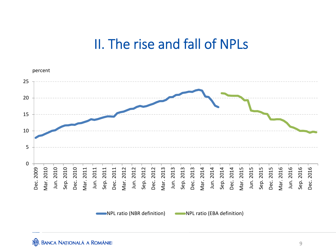## II. The rise and fall of NPLs

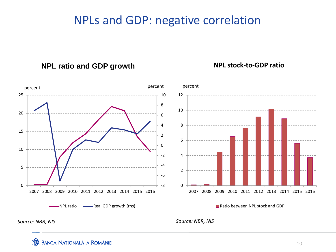### NPLs and GDP: negative correlation

**NPL ratio and GDP growth NPL stock‐to‐GDP ratio**



*Source: NBR, NIS*

*Source: NBR, NIS*

#### **BANCA NAȚIONALĂ A ROMÂNIEI**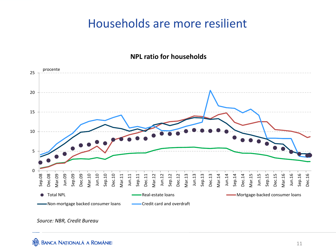### Households are more resilient

#### **NPL ratio for households**



*Source: NBR, Credit Bureau*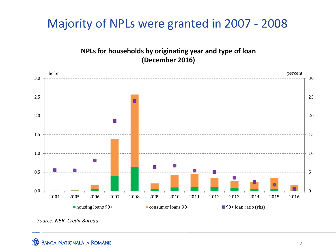### Majority of NPLs were granted in 2007 ‐ 2008

**NPLs for households by originating year and type of loan (December 2016)**



*Source: NBR, Credit Bureau*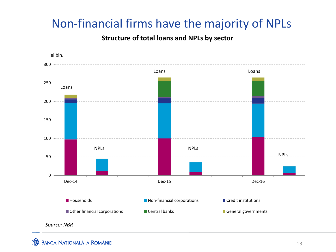### Non‐financial firms have the majority of NPLs

#### **Structure of total loans and NPLs by sector**



**BANCA NAȚIONALĂ A ROMÂNIE**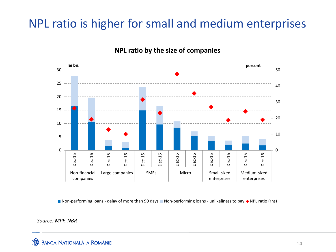### NPL ratio is higher for small and medium enterprises



#### **NPL ratio by the size of companies**

■ Non-performing loans - delay of more than 90 days ■ Non-performing loans - unlikeliness to pay ◆ NPL ratio (rhs)

#### *Source: MPF, NBR*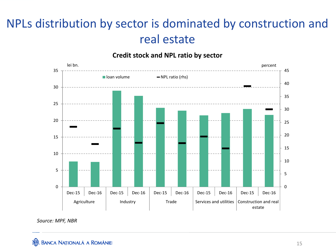## NPLs distribution by sector is dominated by construction and real estate





*Source: MPF, NBR*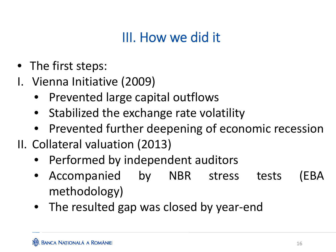# III. How we did it

- The first steps:
- I. Vienna Initiative (2009)
	- Prevented large capital outflows
	- •Stabilized the exchange rate volatility
	- Prevented further deepening of economic recession
- II. Collateral valuation (2013)
	- Performed by independent auditors
	- $\bullet$  Accompanied by NBR stress tests (EBA methodology)
	- The resulted gap was closed by year‐end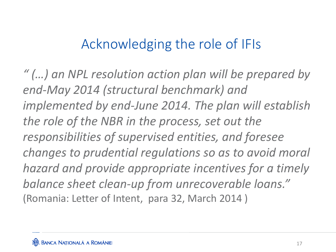# Acknowledging the role of IFIs

*" (…) an NPL resolution action plan will be prepared by end‐May 2014 (structural benchmark) and implemented by end‐June 2014. The plan will establish the role of the NBR in the process, set out the responsibilities of supervised entities, and foresee changes to prudential regulations so as to avoid moral hazard and provide appropriate incentives for <sup>a</sup> timely balance sheet clean‐up from unrecoverable loans."* (Romania: Letter of Intent, para 32, March 2014 )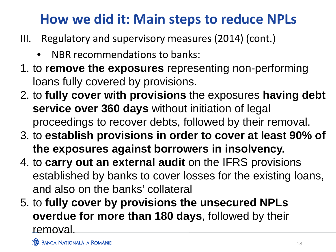# **How we did it: Main steps to reduce NPLs**

- III. Regulatory and supervisory measures (2014) (cont.)
	- •NBR recommendations to banks:
- 1. to **remove the exposures** representing non-performing loans fully covered by provisions.
- 2. to **fully cover with provisions** the exposures **having debt service over 360 days** without initiation of legal proceedings to recover debts, followed by their removal.
- 3. to **establish provisions in order to cover at least 90% of the exposures against borrowers in insolvency.**
- 4. to **carry out an external audit** on the IFRS provisions established by banks to cover losses for the existing loans, and also on the banks' collateral
- 5. to **fully cover by provisions the unsecured NPLs overdue for more than 180 days**, followed by their removal.

**JE BANCA NATIONALĂ A ROMÂNIE**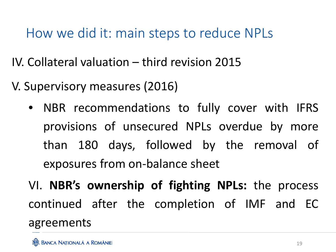How we did it: main steps to reduce NPLs

IV. Collateral valuation – third revision 2015

V. Supervisory measures (2016)

- NBR recommendations to fully cover with IFRS provisions of unsecured NPLs overdue by more than 180 days, followed by the removal of exposures from on‐balance sheet
- VI. **NBR's ownership of fighting NPLs:** the process continued after the completion of IMF and EC agreements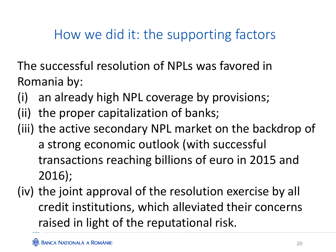# How we did it: the supporting factors

The successful resolution of NPLs was favored in Romania by:

- (i) an already high NPL coverage by provisions;
- (ii) the proper capitalization of banks;
- (iii) the active secondary NPL market on the backdrop of a strong economic outlook (with successful transactions reaching billions of euro in 2015 and 2016);
- (iv) the joint approval of the resolution exercise by all credit institutions, which alleviated their concerns raised in light of the reputational risk.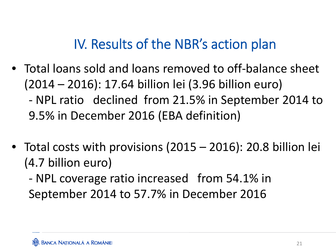# IV. Results of the NBR's action plan

- Total loans sold and loans removed to off‐balance sheet (2014 – 2016): 17.64 billion lei (3.96 billion euro) ‐ NPL ratio declined from 21.5% in September 2014 to 9.5% in December 2016 (EBA definition)
- Total costs with provisions (2015 2016): 20.8 billion lei (4.7 billion euro)

‐ NPL coverage ratio increased from 54.1% in September 2014 to 57.7% in December 2016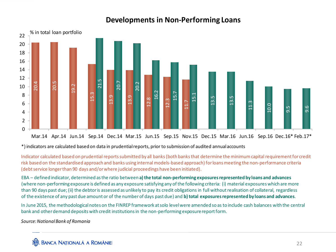#### **Developments in Non‐Performing Loans**



Mar.14 Apr.14 Jun.14 Sep.14 Dec.14 Mar.15 Jun.15 Sep.15 Nov.15 Dec.15 Mar.16 Jun.16 Sep.16 Dec.16\* Feb.17\*

\*) indicators are calculated based on data in prudentialreports, prior to submission of audited annualaccounts

Indicator calculated based on prudential reports submitted by all banks (both banks that determine the minimum capital requirement for credit risk based on the standardised approach and banks using internal models‐based approach) forloansmeeting the non‐performance criteria (debtservice longerthan 90 days and/orwhere judicial proceedings have been initiated).

EBA – defined indicator, determined asthe ratio between **a) the total non‐performing exposuresrepresentedby loans and advances** (where non‐performing exposure is defined as any exposure satisfying any ofthe following criteria: (i) material exposureswhich are more than 90 days past due;(ii) the debtoris assessed as unlikely to pay its credit obligations in full withoutrealisation of collateral, regardless of the existence of any past due amount or of the numberof days pastdue) and **b) total exposuresrepresentedby loans and advances**.

In June 2015, the methodologicalnotes on the FINREP framework atsolo levelwere amended so as to include cash balances with the central bank and otherdemand deposits with credit institutionsin the non‐performing exposurereportform.

*Source:NationalBank of Romania*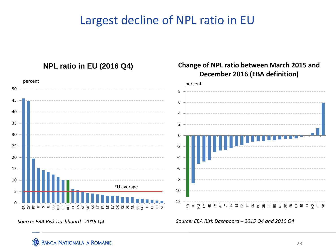### Largest decline of NPL ratio in EU



*Source: EBA Risk Dashboard ‐ 2016 Q4*

*Source: EBA Risk Dashboard – 2015 Q4 and 2016 Q4*

**BANCA NAȚIONALĂ A ROMÂNIEI**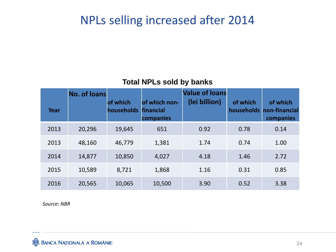### NPLs selling increased after 2014

#### **Total NPLs sold by banks**

|      | <b>No. of loans</b> |                        |                                         | <b>Value of loans</b> |          |                                                   |
|------|---------------------|------------------------|-----------------------------------------|-----------------------|----------|---------------------------------------------------|
| Year |                     | of which<br>households | of which non-<br>financial<br>companies | (lei billion)         | of which | of which<br>households non-financial<br>companies |
| 2013 | 20,296              | 19,645                 | 651                                     | 0.92                  | 0.78     | 0.14                                              |
| 2013 | 48,160              | 46,779                 | 1,381                                   | 1.74                  | 0.74     | 1.00                                              |
| 2014 | 14,877              | 10,850                 | 4,027                                   | 4.18                  | 1.46     | 2.72                                              |
| 2015 | 10,589              | 8,721                  | 1,868                                   | 1.16                  | 0.31     | 0.85                                              |
| 2016 | 20,565              | 10,065                 | 10,500                                  | 3.90                  | 0.52     | 3.38                                              |

*Source: NBR*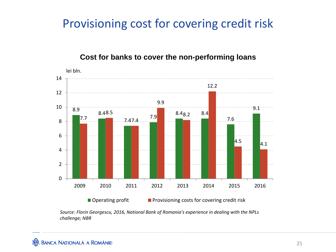### Provisioning cost for covering credit risk

#### **Cost for banks to cover the non-performing loans**



*Source: Florin Georgescu, 2016, National Bank of Romania's experience in dealing with the NPLs challenge; NBR*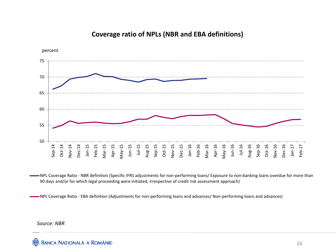

#### **Coverage ratio of NPLs (NBR and EBA definitions)**

NPL Coverage Ratio ‐ NBR definition (Specific IFRS adjustments for non‐performing loans/ Exposure to non‐banking loans overdue for more than 90 days and/or for which legal proceeding were initiated, irrespective of credit risk assessment approach)

NPL Coverage Ratio ‐ EBA definition (Adjustments for non‐performing loans and advances/ Non‐performing loans and advances)

*Source: NBR*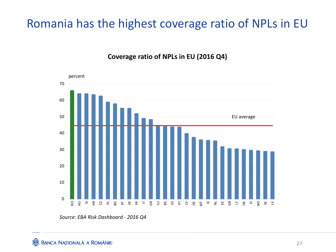### Romania has the highest coverage ratio of NPLs in EU

**Coverage ratio of NPLs in EU (2016 Q4)**



*Source: EBA Risk Dashboard ‐ 2016 Q4*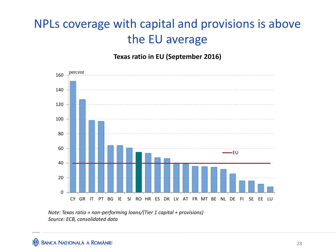# NPLs coverage with capital and provisions is above the EU average

**Texas ratio in EU (September 2016)**



*Note: Texas ratio <sup>=</sup> non‐performing loans/(Tier 1 capital <sup>+</sup> provisions) Source: ECB, consolidated data*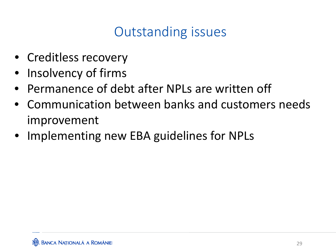# Outstanding issues

- Creditless recovery
- •Insolvency of firms
- •• Permanence of debt after NPLs are written off
- Communication between banks and customers needs improvement
- Implementing new EBA guidelines for NPLs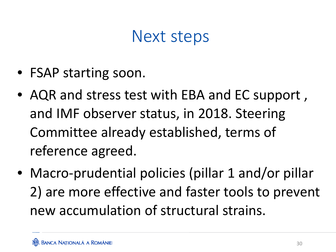# Next steps

- FSAP starting soon.
- AQR and stress test with EBA and EC support , and IMF observer status, in 2018. Steering Committee already established, terms of reference agreed.
- Macro‐prudential policies (pillar 1 and/or pillar 2) are more effective and faster tools to prevent new accumulation of structural strains.